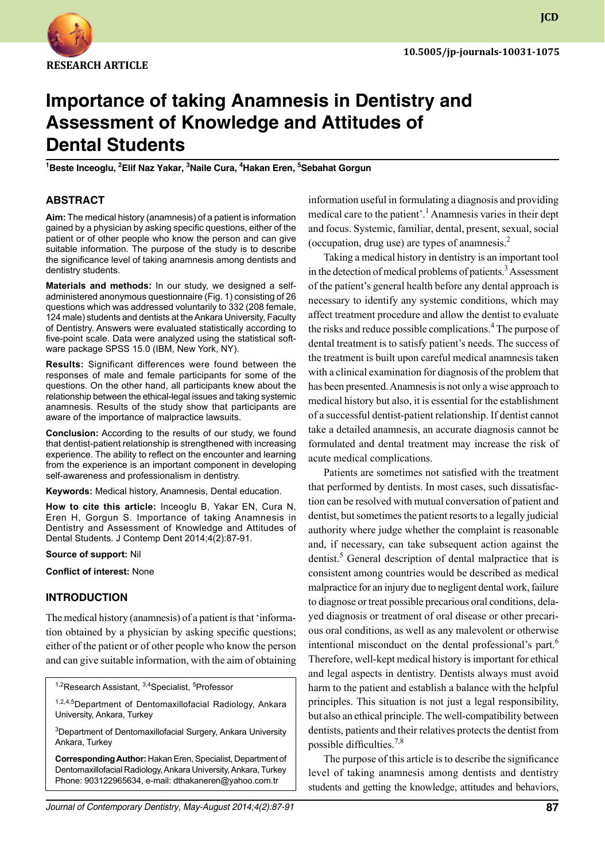

**JCD**

# **Importance of taking Anamnesis in Dentistry and Assessment of Knowledge and Attitudes of Dental Students**

<sup>1</sup>Beste Inceoglu, <sup>2</sup>Elif Naz Yakar, <sup>3</sup>Naile Cura, <sup>4</sup>Hakan Eren, <sup>5</sup>Sebahat Gorgun

# **ABSTRACT**

**Aim:** The medical history (anamnesis) of a patient is information gained by a physician by asking specific questions, either of the patient or of other people who know the person and can give suitable information. The purpose of the study is to describe the significance level of taking anamnesis among dentists and dentistry students.

**Materials and methods:** In our study, we designed a selfadministered anonymous questionnaire (Fig. 1) consisting of 26 questions which was addressed voluntarily to 332 (208 female, 124 male) students and dentists at the Ankara University, Faculty of Dentistry. Answers were evaluated statistically according to five-point scale. Data were analyzed using the statistical software package SPSS 15.0 (IBM, New York, NY).

**Results:** Significant differences were found between the responses of male and female participants for some of the questions. On the other hand, all participants knew about the relationship between the ethical-legal issues and taking systemic anamnesis. Results of the study show that participants are aware of the importance of malpractice lawsuits.

**Conclusion:** According to the results of our study, we found that dentist-patient relationship is strengthened with increasing experience. The ability to reflect on the encounter and learning from the experience is an important component in developing self-awareness and professionalism in dentistry.

**Keywords:** Medical history, Anamnesis, Dental education.

**How to cite this article:** Inceoglu B, Yakar EN, Cura N, Eren H, Gorgun S. Importance of taking Anamnesis in Dentistry and Assessment of Knowledge and Attitudes of Dental Students. J Contemp Dent 2014;4(2):87-91.

#### **Source of support:** Nil

**Conflict of interest:** None

## **Introduction**

The medical history (anamnesis) of a patient is that 'information obtained by a physician by asking specific questions; either of the patient or of other people who know the person and can give suitable information, with the aim of obtaining

<sup>1,2</sup>Research Assistant, <sup>3,4</sup>Specialist, <sup>5</sup>Professor

1,2,4,5Department of Dentomaxillofacial Radiology, Ankara University, Ankara, Turkey

<sup>3</sup>Department of Dentomaxillofacial Surgery, Ankara University Ankara, Turkey

**Corresponding Author:** Hakan Eren, Specialist, Department of Dentomaxillofacial Radiology, Ankara University, Ankara, Turkey Phone: 903122965634, e-mail: dthakaneren@yahoo.com.tr

information useful in formulating a diagnosis and providing medical care to the patient'.<sup>1</sup> Anamnesis varies in their dept and focus. Systemic, familiar, dental, present, sexual, social (occupation, drug use) are types of anamnesis.<sup>2</sup>

Taking a medical history in dentistry is an important tool in the detection of medical problems of patients.<sup>3</sup> Assessment of the patient's general health before any dental approach is necessary to identify any systemic conditions, which may affect treatment procedure and allow the dentist to evaluate the risks and reduce possible complications.<sup>4</sup> The purpose of dental treatment is to satisfy patient's needs. The success of the treatment is built upon careful medical anamnesis taken with a clinical examination for diagnosis of the problem that has been presented. Anamnesis is not only a wise approach to medical history but also, it is essential for the establishment of a successful dentist-patient relationship. If dentist cannot take a detailed anamnesis, an accurate diagnosis cannot be formulated and dental treatment may increase the risk of acute medical complications.

Patients are sometimes not satisfied with the treatment that performed by dentists. In most cases, such dissatisfaction can be resolved with mutual conversation of patient and dentist, but sometimes the patient resorts to a legally judicial authority where judge whether the complaint is reasonable and, if necessary, can take subsequent action against the dentist.<sup>5</sup> General description of dental malpractice that is consistent among countries would be described as medical malpractice for an injury due to negligent dental work, failure to diagnose or treat possible precarious oral conditions, delayed diagnosis or treatment of oral disease or other precarious oral conditions, as well as any malevolent or otherwise intentional misconduct on the dental professional's part.<sup>6</sup> Therefore, well-kept medical history is important for ethical and legal aspects in dentistry. Dentists always must avoid harm to the patient and establish a balance with the helpful principles. This situation is not just a legal responsibility, but also an ethical principle. The well-compatibility between dentists, patients and their relatives protects the dentist from possible difficulties.7,8

The purpose of this article is to describe the significance level of taking anamnesis among dentists and dentistry students and getting the knowledge, attitudes and behaviors,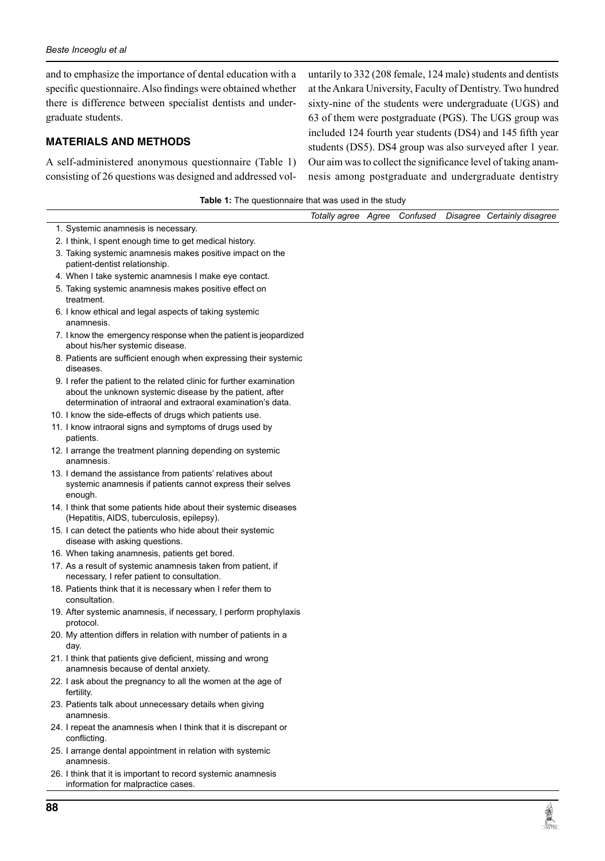$\overline{a}$ 

and to emphasize the importance of dental education with a specific questionnaire. Also findings were obtained whether there is difference between specialist dentists and undergraduate students.

# **materials and Methods**

A self-administered anonymous questionnaire (Table 1) consisting of 26 questions was designed and addressed vol-

untarily to 332 (208 female, 124 male) students and dentists at the Ankara University, Faculty of Dentistry. Two hundred sixty-nine of the students were undergraduate (UGS) and 63 of them were postgraduate (PGS). The UGS group was included 124 fourth year students (DS4) and 145 fifth year students (DS5). DS4 group was also surveyed after 1 year. Our aim was to collect the significance level of taking anamnesis among postgraduate and undergraduate dentistry

**REAL** 

| Totally agree Agree Confused<br>Disagree Certainly disagree<br>1. Systemic anamnesis is necessary.<br>2. I think, I spent enough time to get medical history.<br>3. Taking systemic anamnesis makes positive impact on the<br>patient-dentist relationship.<br>4. When I take systemic anamnesis I make eye contact.<br>5. Taking systemic anamnesis makes positive effect on<br>treatment.<br>6. I know ethical and legal aspects of taking systemic<br>anamnesis.<br>7. I know the emergency response when the patient is jeopardized<br>about his/her systemic disease.<br>8. Patients are sufficient enough when expressing their systemic<br>diseases.<br>9. I refer the patient to the related clinic for further examination<br>about the unknown systemic disease by the patient, after<br>determination of intraoral and extraoral examination's data.<br>10. I know the side-effects of drugs which patients use.<br>11. I know intraoral signs and symptoms of drugs used by |  |
|-----------------------------------------------------------------------------------------------------------------------------------------------------------------------------------------------------------------------------------------------------------------------------------------------------------------------------------------------------------------------------------------------------------------------------------------------------------------------------------------------------------------------------------------------------------------------------------------------------------------------------------------------------------------------------------------------------------------------------------------------------------------------------------------------------------------------------------------------------------------------------------------------------------------------------------------------------------------------------------------|--|
|                                                                                                                                                                                                                                                                                                                                                                                                                                                                                                                                                                                                                                                                                                                                                                                                                                                                                                                                                                                         |  |
|                                                                                                                                                                                                                                                                                                                                                                                                                                                                                                                                                                                                                                                                                                                                                                                                                                                                                                                                                                                         |  |
|                                                                                                                                                                                                                                                                                                                                                                                                                                                                                                                                                                                                                                                                                                                                                                                                                                                                                                                                                                                         |  |
|                                                                                                                                                                                                                                                                                                                                                                                                                                                                                                                                                                                                                                                                                                                                                                                                                                                                                                                                                                                         |  |
|                                                                                                                                                                                                                                                                                                                                                                                                                                                                                                                                                                                                                                                                                                                                                                                                                                                                                                                                                                                         |  |
|                                                                                                                                                                                                                                                                                                                                                                                                                                                                                                                                                                                                                                                                                                                                                                                                                                                                                                                                                                                         |  |
|                                                                                                                                                                                                                                                                                                                                                                                                                                                                                                                                                                                                                                                                                                                                                                                                                                                                                                                                                                                         |  |
|                                                                                                                                                                                                                                                                                                                                                                                                                                                                                                                                                                                                                                                                                                                                                                                                                                                                                                                                                                                         |  |
|                                                                                                                                                                                                                                                                                                                                                                                                                                                                                                                                                                                                                                                                                                                                                                                                                                                                                                                                                                                         |  |
|                                                                                                                                                                                                                                                                                                                                                                                                                                                                                                                                                                                                                                                                                                                                                                                                                                                                                                                                                                                         |  |
|                                                                                                                                                                                                                                                                                                                                                                                                                                                                                                                                                                                                                                                                                                                                                                                                                                                                                                                                                                                         |  |
| patients.                                                                                                                                                                                                                                                                                                                                                                                                                                                                                                                                                                                                                                                                                                                                                                                                                                                                                                                                                                               |  |
| 12. I arrange the treatment planning depending on systemic<br>anamnesis.                                                                                                                                                                                                                                                                                                                                                                                                                                                                                                                                                                                                                                                                                                                                                                                                                                                                                                                |  |
| 13. I demand the assistance from patients' relatives about<br>systemic anamnesis if patients cannot express their selves<br>enough.                                                                                                                                                                                                                                                                                                                                                                                                                                                                                                                                                                                                                                                                                                                                                                                                                                                     |  |
| 14. I think that some patients hide about their systemic diseases<br>(Hepatitis, AIDS, tuberculosis, epilepsy).                                                                                                                                                                                                                                                                                                                                                                                                                                                                                                                                                                                                                                                                                                                                                                                                                                                                         |  |
| 15. I can detect the patients who hide about their systemic<br>disease with asking questions.                                                                                                                                                                                                                                                                                                                                                                                                                                                                                                                                                                                                                                                                                                                                                                                                                                                                                           |  |
| 16. When taking anamnesis, patients get bored.                                                                                                                                                                                                                                                                                                                                                                                                                                                                                                                                                                                                                                                                                                                                                                                                                                                                                                                                          |  |
| 17. As a result of systemic anamnesis taken from patient, if<br>necessary, I refer patient to consultation.                                                                                                                                                                                                                                                                                                                                                                                                                                                                                                                                                                                                                                                                                                                                                                                                                                                                             |  |
| 18. Patients think that it is necessary when I refer them to<br>consultation.                                                                                                                                                                                                                                                                                                                                                                                                                                                                                                                                                                                                                                                                                                                                                                                                                                                                                                           |  |
| 19. After systemic anamnesis, if necessary, I perform prophylaxis<br>protocol.                                                                                                                                                                                                                                                                                                                                                                                                                                                                                                                                                                                                                                                                                                                                                                                                                                                                                                          |  |
| 20. My attention differs in relation with number of patients in a<br>day.                                                                                                                                                                                                                                                                                                                                                                                                                                                                                                                                                                                                                                                                                                                                                                                                                                                                                                               |  |
| 21. I think that patients give deficient, missing and wrong<br>anamnesis because of dental anxiety.                                                                                                                                                                                                                                                                                                                                                                                                                                                                                                                                                                                                                                                                                                                                                                                                                                                                                     |  |
| 22. I ask about the pregnancy to all the women at the age of<br>fertility.                                                                                                                                                                                                                                                                                                                                                                                                                                                                                                                                                                                                                                                                                                                                                                                                                                                                                                              |  |
| 23. Patients talk about unnecessary details when giving<br>anamnesis.                                                                                                                                                                                                                                                                                                                                                                                                                                                                                                                                                                                                                                                                                                                                                                                                                                                                                                                   |  |
| 24. I repeat the anamnesis when I think that it is discrepant or<br>conflicting.                                                                                                                                                                                                                                                                                                                                                                                                                                                                                                                                                                                                                                                                                                                                                                                                                                                                                                        |  |
| 25. I arrange dental appointment in relation with systemic<br>anamnesis.                                                                                                                                                                                                                                                                                                                                                                                                                                                                                                                                                                                                                                                                                                                                                                                                                                                                                                                |  |
| 26. I think that it is important to record systemic anamnesis<br>information for malpractice cases.                                                                                                                                                                                                                                                                                                                                                                                                                                                                                                                                                                                                                                                                                                                                                                                                                                                                                     |  |

**Table 1:** The questionnaire that was used in the study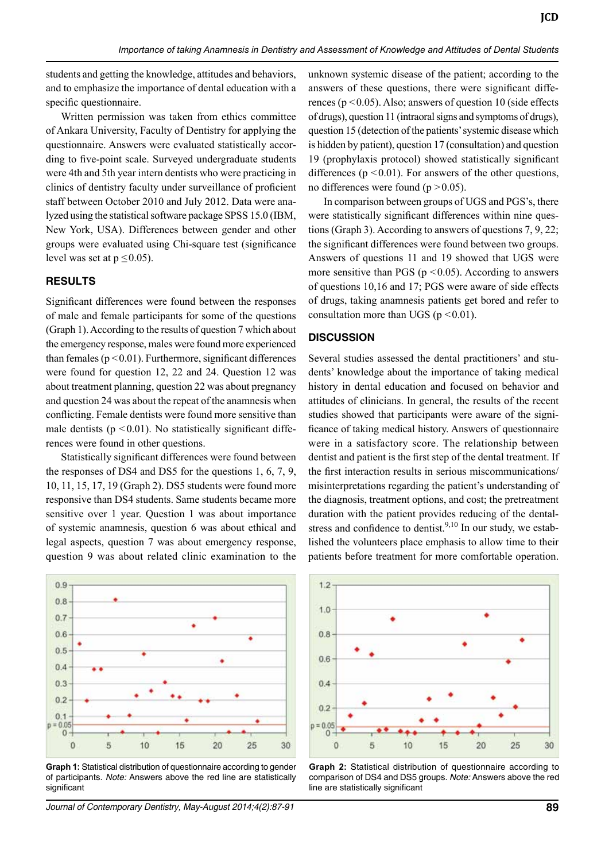students and getting the knowledge, attitudes and behaviors, and to emphasize the importance of dental education with a specific questionnaire.

Written permission was taken from ethics committee of Ankara University, Faculty of Dentistry for applying the questionnaire. Answers were evaluated statistically according to five-point scale. Surveyed undergraduate students were 4th and 5th year intern dentists who were practicing in clinics of dentistry faculty under surveillance of proficient staff between October 2010 and July 2012. Data were analyzed using the statistical software package SPSS 15.0 (IBM, New York, USA). Differences between gender and other groups were evaluated using chi-square test (significance level was set at  $p \le 0.05$ ).

## **Results**

Significant differences were found between the responses of male and female participants for some of the questions (Graph 1). According to the results of question 7 which about the emergency response, males were found more experienced than females  $(p < 0.01)$ . Furthermore, significant differences were found for question 12, 22 and 24. Question 12 was about treatment planning, question 22 was about pregnancy and question 24 was about the repeat of the anamnesis when conflicting. Female dentists were found more sensitive than male dentists ( $p \le 0.01$ ). No statistically significant differences were found in other questions.

Statistically significant differences were found between the responses of DS4 and DS5 for the questions 1, 6, 7, 9, 10, 11, 15, 17, 19 (Graph 2). DS5 students were found more responsive than DS4 students. Same students became more sensitive over 1 year. Question 1 was about importance of systemic anamnesis, question 6 was about ethical and legal aspects, question 7 was about emergency response, question 9 was about related clinic examination to the



**Graph 1:** Statistical distribution of questionnaire according to gender of participants. *Note:* Answers above the red line are statistically significant

*Journal of Contemporary Dentistry, May-August 2014;4(2):87-91* **89**

unknown systemic disease of the patient; according to the answers of these questions, there were significant differences ( $p < 0.05$ ). Also; answers of question 10 (side effects of drugs), question 11 (intraoral signs and symptoms of drugs), question 15 (detection of the patients' systemic disease which is hidden by patient), question 17 (consultation) and question 19 (prophylaxis protocol) showed statistically significant differences ( $p \le 0.01$ ). For answers of the other questions, no differences were found  $(p > 0.05)$ .

In comparison between groups of UGS and PGS's, there were statistically significant differences within nine questions (Graph 3). According to answers of questions 7, 9, 22; the significant differences were found between two groups. Answers of questions 11 and 19 showed that UGS were more sensitive than PGS ( $p \le 0.05$ ). According to answers of questions 10,16 and 17; PGS were aware of side effects of drugs, taking anamnesis patients get bored and refer to consultation more than UGS ( $p < 0.01$ ).

## **Discussion**

Several studies assessed the dental practitioners' and students' knowledge about the importance of taking medical history in dental education and focused on behavior and attitudes of clinicians. In general, the results of the recent studies showed that participants were aware of the significance of taking medical history. Answers of questionnaire were in a satisfactory score. The relationship between dentist and patient is the first step of the dental treatment. If the first interaction results in serious miscommunications/ misinterpretations regarding the patient's understanding of the diagnosis, treatment options, and cost; the pretreatment duration with the patient provides reducing of the dentalstress and confidence to dentist.<sup>9,10</sup> In our study, we established the volunteers place emphasis to allow time to their patients before treatment for more comfortable operation.



**Graph 2:** Statistical distribution of questionnaire according to comparison of DS4 and DS5 groups. *Note:* Answers above the red line are statistically significant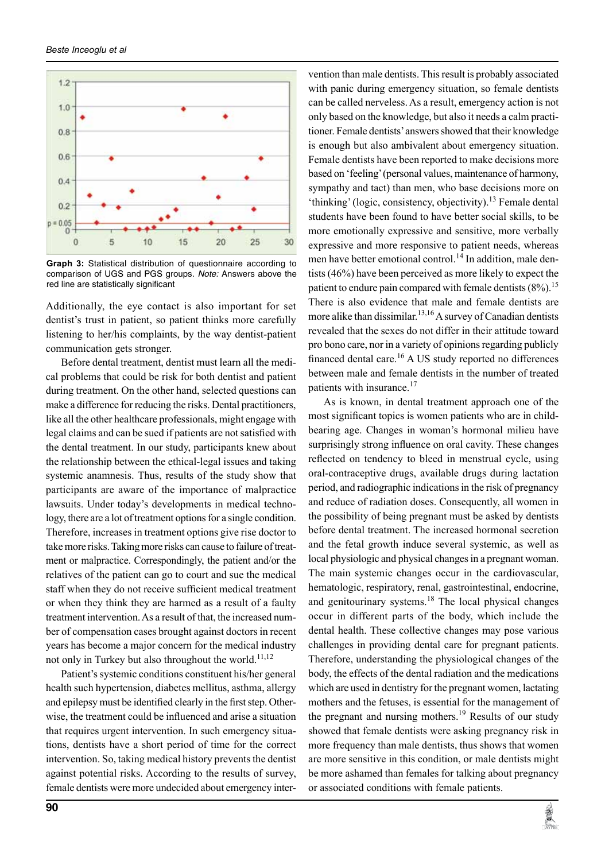

**Graph 3:** Statistical distribution of questionnaire according to comparison of UGS and PGS groups. *Note:* Answers above the red line are statistically significant

Additionally, the eye contact is also important for set dentist's trust in patient, so patient thinks more carefully listening to her/his complaints, by the way dentist-patient communication gets stronger.

Before dental treatment, dentist must learn all the medical problems that could be risk for both dentist and patient during treatment. On the other hand, selected questions can make a difference for reducing the risks. Dental practitioners, like all the other healthcare professionals, might engage with legal claims and can be sued if patients are not satisfied with the dental treatment. In our study, participants knew about the relationship between the ethical-legal issues and taking systemic anamnesis. Thus, results of the study show that participants are aware of the importance of malpractice lawsuits. Under today's developments in medical technology, there are a lot of treatment options for a single condition. Therefore, increases in treatment options give rise doctor to take more risks. Taking more risks can cause to failure of treatment or malpractice. Correspondingly, the patient and/or the relatives of the patient can go to court and sue the medical staff when they do not receive sufficient medical treatment or when they think they are harmed as a result of a faulty treatment intervention. As a result of that, the increased number of compensation cases brought against doctors in recent years has become a major concern for the medical industry not only in Turkey but also throughout the world.<sup>11,12</sup>

Patient's systemic conditions constituent his/her general health such hypertension, diabetes mellitus, asthma, allergy and epilepsy must be identified clearly in the first step. Otherwise, the treatment could be influenced and arise a situation that requires urgent intervention. In such emergency situations, dentists have a short period of time for the correct intervention. So, taking medical history prevents the dentist against potential risks. According to the results of survey, female dentists were more undecided about emergency inter-

vention than male dentists. This result is probably associated with panic during emergency situation, so female dentists can be called nerveless. As a result, emergency action is not only based on the knowledge, but also it needs a calm practitioner. Female dentists' answers showed that their knowledge is enough but also ambivalent about emergency situation. Female dentists have been reported to make decisions more based on 'feeling' (personal values, maintenance of harmony, sympathy and tact) than men, who base decisions more on 'thinking' (logic, consistency, objectivity).<sup>13</sup> Female dental students have been found to have better social skills, to be more emotionally expressive and sensitive, more verbally expressive and more responsive to patient needs, whereas men have better emotional control.<sup>14</sup> In addition, male dentists (46%) have been perceived as more likely to expect the patient to endure pain compared with female dentists  $(8\%)$ .<sup>15</sup> There is also evidence that male and female dentists are more alike than dissimilar.<sup>13,16</sup> A survey of Canadian dentists revealed that the sexes do not differ in their attitude toward pro bono care, nor in a variety of opinions regarding publicly financed dental care.<sup>16</sup> A US study reported no differences between male and female dentists in the number of treated patients with insurance.<sup>17</sup>

As is known, in dental treatment approach one of the most significant topics is women patients who are in childbearing age. Changes in woman's hormonal milieu have surprisingly strong influence on oral cavity. These changes reflected on tendency to bleed in menstrual cycle, using oral-contraceptive drugs, available drugs during lactation period, and radiographic indications in the risk of pregnancy and reduce of radiation doses. Consequently, all women in the possibility of being pregnant must be asked by dentists before dental treatment. The increased hormonal secretion and the fetal growth induce several systemic, as well as local physiologic and physical changes in a pregnant woman. The main systemic changes occur in the cardiovascular, hematologic, respiratory, renal, gastrointestinal, endocrine, and genitourinary systems. $18$  The local physical changes occur in different parts of the body, which include the dental health. These collective changes may pose various challenges in providing dental care for pregnant patients. Therefore, understanding the physiological changes of the body, the effects of the dental radiation and the medications which are used in dentistry for the pregnant women, lactating mothers and the fetuses, is essential for the management of the pregnant and nursing mothers.<sup>19</sup> Results of our study showed that female dentists were asking pregnancy risk in more frequency than male dentists, thus shows that women are more sensitive in this condition, or male dentists might be more ashamed than females for talking about pregnancy or associated conditions with female patients.

**REAL PROPERTY**